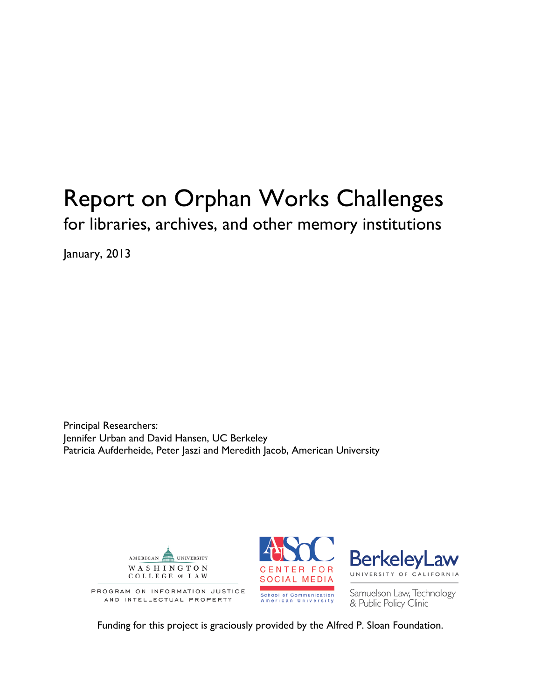January, 2013

Principal Researchers: Jennifer Urban and David Hansen, UC Berkeley Patricia Aufderheide, Peter Jaszi and Meredith Jacob, American University



Funding for this project is graciously provided by the Alfred P. Sloan Foundation.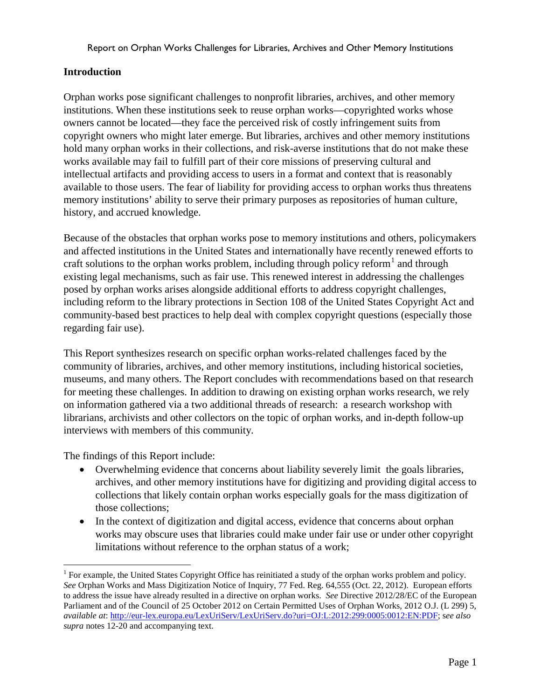## **Introduction**

Orphan works pose significant challenges to nonprofit libraries, archives, and other memory institutions. When these institutions seek to reuse orphan works—copyrighted works whose owners cannot be located—they face the perceived risk of costly infringement suits from copyright owners who might later emerge. But libraries, archives and other memory institutions hold many orphan works in their collections, and risk-averse institutions that do not make these works available may fail to fulfill part of their core missions of preserving cultural and intellectual artifacts and providing access to users in a format and context that is reasonably available to those users. The fear of liability for providing access to orphan works thus threatens memory institutions' ability to serve their primary purposes as repositories of human culture, history, and accrued knowledge.

Because of the obstacles that orphan works pose to memory institutions and others, policymakers and affected institutions in the United States and internationally have recently renewed efforts to craft solutions to the orphan works problem, including through policy reform<sup>[1](#page-1-0)</sup> and through existing legal mechanisms, such as fair use. This renewed interest in addressing the challenges posed by orphan works arises alongside additional efforts to address copyright challenges, including reform to the library protections in Section 108 of the United States Copyright Act and community-based best practices to help deal with complex copyright questions (especially those regarding fair use).

This Report synthesizes research on specific orphan works-related challenges faced by the community of libraries, archives, and other memory institutions, including historical societies, museums, and many others. The Report concludes with recommendations based on that research for meeting these challenges. In addition to drawing on existing orphan works research, we rely on information gathered via a two additional threads of research: a research workshop with librarians, archivists and other collectors on the topic of orphan works, and in-depth follow-up interviews with members of this community.

The findings of this Report include:

- Overwhelming evidence that concerns about liability severely limit the goals libraries, archives, and other memory institutions have for digitizing and providing digital access to collections that likely contain orphan works especially goals for the mass digitization of those collections;
- In the context of digitization and digital access, evidence that concerns about orphan works may obscure uses that libraries could make under fair use or under other copyright limitations without reference to the orphan status of a work;

<span id="page-1-0"></span><sup>&</sup>lt;sup>1</sup> For example, the United States Copyright Office has reinitiated a study of the orphan works problem and policy. *See* Orphan Works and Mass Digitization Notice of Inquiry, 77 Fed. Reg. 64,555 (Oct. 22, 2012). European efforts to address the issue have already resulted in a directive on orphan works. *See* Directive 2012/28/EC of the European Parliament and of the Council of 25 October 2012 on Certain Permitted Uses of Orphan Works, 2012 O.J. (L 299) 5, *available at*: [http://eur-lex.europa.eu/LexUriServ/LexUriServ.do?uri=OJ:L:2012:299:0005:0012:EN:PDF;](http://eur-lex.europa.eu/LexUriServ/LexUriServ.do?uri=OJ:L:2012:299:0005:0012:EN:PDF) s*ee also supra* notes 12-20 and accompanying text.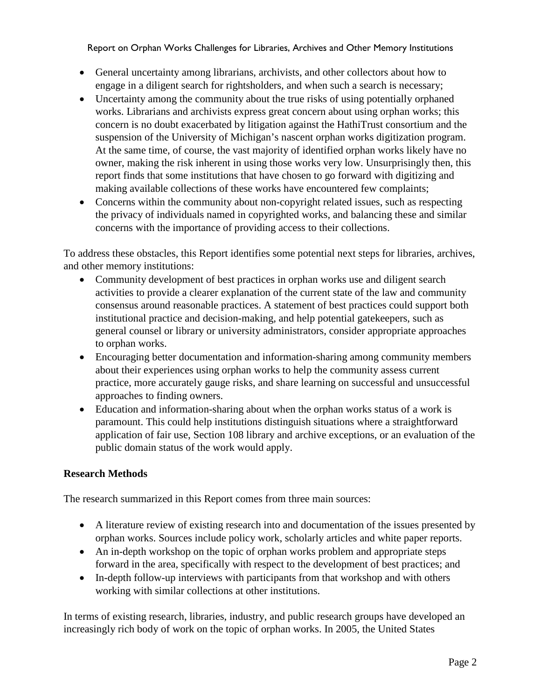- General uncertainty among librarians, archivists, and other collectors about how to engage in a diligent search for rightsholders, and when such a search is necessary;
- Uncertainty among the community about the true risks of using potentially orphaned works. Librarians and archivists express great concern about using orphan works; this concern is no doubt exacerbated by litigation against the HathiTrust consortium and the suspension of the University of Michigan's nascent orphan works digitization program. At the same time, of course, the vast majority of identified orphan works likely have no owner, making the risk inherent in using those works very low. Unsurprisingly then, this report finds that some institutions that have chosen to go forward with digitizing and making available collections of these works have encountered few complaints;
- Concerns within the community about non-copyright related issues, such as respecting the privacy of individuals named in copyrighted works, and balancing these and similar concerns with the importance of providing access to their collections.

To address these obstacles, this Report identifies some potential next steps for libraries, archives, and other memory institutions:

- Community development of best practices in orphan works use and diligent search activities to provide a clearer explanation of the current state of the law and community consensus around reasonable practices. A statement of best practices could support both institutional practice and decision-making, and help potential gatekeepers, such as general counsel or library or university administrators, consider appropriate approaches to orphan works.
- Encouraging better documentation and information-sharing among community members about their experiences using orphan works to help the community assess current practice, more accurately gauge risks, and share learning on successful and unsuccessful approaches to finding owners.
- Education and information-sharing about when the orphan works status of a work is paramount. This could help institutions distinguish situations where a straightforward application of fair use, Section 108 library and archive exceptions, or an evaluation of the public domain status of the work would apply.

## **Research Methods**

The research summarized in this Report comes from three main sources:

- A literature review of existing research into and documentation of the issues presented by orphan works. Sources include policy work, scholarly articles and white paper reports.
- An in-depth workshop on the topic of orphan works problem and appropriate steps forward in the area, specifically with respect to the development of best practices; and
- In-depth follow-up interviews with participants from that workshop and with others working with similar collections at other institutions.

In terms of existing research, libraries, industry, and public research groups have developed an increasingly rich body of work on the topic of orphan works. In 2005, the United States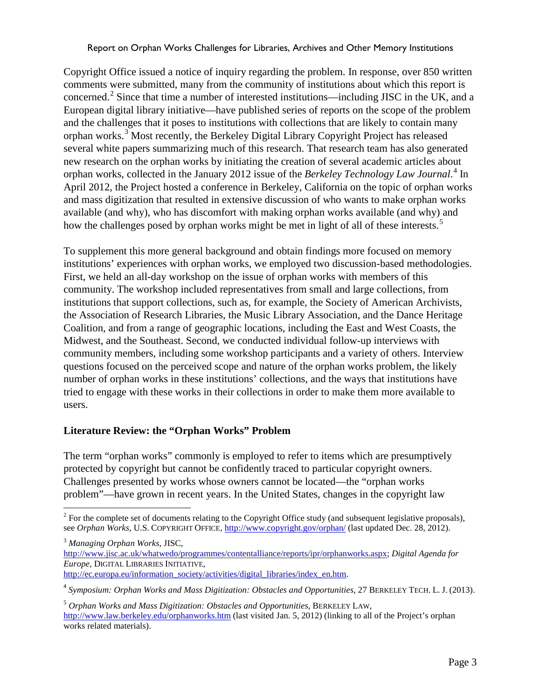Copyright Office issued a notice of inquiry regarding the problem. In response, over 850 written comments were submitted, many from the community of institutions about which this report is concerned.<sup>[2](#page-3-0)</sup> Since that time a number of interested institutions—including JISC in the UK, and a European digital library initiative—have published series of reports on the scope of the problem and the challenges that it poses to institutions with collections that are likely to contain many orphan works.<sup>[3](#page-3-1)</sup> Most recently, the Berkeley Digital Library Copyright Project has released several white papers summarizing much of this research. That research team has also generated new research on the orphan works by initiating the creation of several academic articles about orphan works, collected in the January 2012 issue of the *Berkeley Technology Law Journal*. [4](#page-3-2) In April 2012, the Project hosted a conference in Berkeley, California on the topic of orphan works and mass digitization that resulted in extensive discussion of who wants to make orphan works available (and why), who has discomfort with making orphan works available (and why) and how the challenges posed by orphan works might be met in light of all of these interests.<sup>[5](#page-3-3)</sup>

To supplement this more general background and obtain findings more focused on memory institutions' experiences with orphan works, we employed two discussion-based methodologies. First, we held an all-day workshop on the issue of orphan works with members of this community. The workshop included representatives from small and large collections, from institutions that support collections, such as, for example, the Society of American Archivists, the Association of Research Libraries, the Music Library Association, and the Dance Heritage Coalition, and from a range of geographic locations, including the East and West Coasts, the Midwest, and the Southeast. Second, we conducted individual follow-up interviews with community members, including some workshop participants and a variety of others. Interview questions focused on the perceived scope and nature of the orphan works problem, the likely number of orphan works in these institutions' collections, and the ways that institutions have tried to engage with these works in their collections in order to make them more available to users.

#### **Literature Review: the "Orphan Works" Problem**

The term "orphan works" commonly is employed to refer to items which are presumptively protected by copyright but cannot be confidently traced to particular copyright owners. Challenges presented by works whose owners cannot be located—the "orphan works problem"—have grown in recent years. In the United States, changes in the copyright law

<span id="page-3-0"></span> $2^2$  For the complete set of documents relating to the Copyright Office study (and subsequent legislative proposals), see *Orphan Works*, U.S. COPYRIGHT OFFICE,<http://www.copyright.gov/orphan/> (last updated Dec. 28, 2012).

<span id="page-3-1"></span><sup>3</sup> *Managing Orphan Works*, JISC,

[http://www.jisc.ac.uk/whatwedo/programmes/contentalliance/reports/ipr/orphanworks.aspx;](http://www.jisc.ac.uk/whatwedo/programmes/contentalliance/reports/ipr/orphanworks.aspx) *Digital Agenda for Europe*, DIGITAL LIBRARIES INITIATIVE, [http://ec.europa.eu/information\\_society/activities/digital\\_libraries/index\\_en.htm.](http://ec.europa.eu/information_society/activities/digital_libraries/index_en.htm)

<span id="page-3-2"></span><sup>4</sup> *Symposium: Orphan Works and Mass Digitization: Obstacles and Opportunities*, 27 BERKELEY TECH. L. J. (2013).

<span id="page-3-3"></span><sup>5</sup> *Orphan Works and Mass Digitization: Obstacles and Opportunities*, BERKELEY LAW, <http://www.law.berkeley.edu/orphanworks.htm> (last visited Jan. 5, 2012) (linking to all of the Project's orphan works related materials).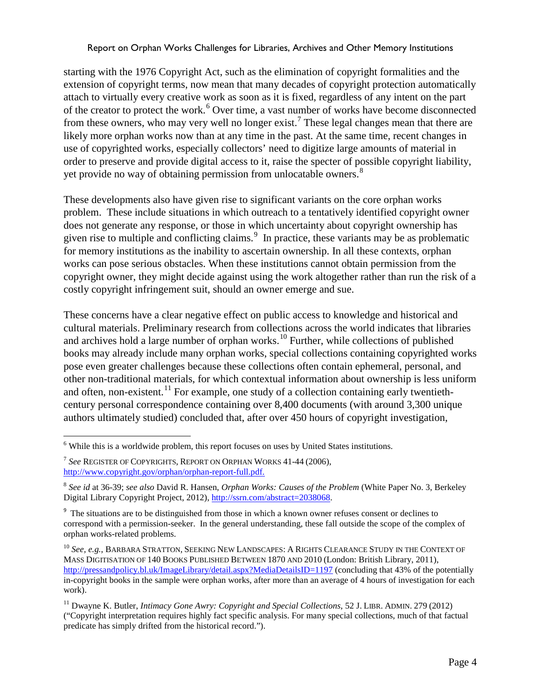starting with the 1976 Copyright Act, such as the elimination of copyright formalities and the extension of copyright terms, now mean that many decades of copyright protection automatically attach to virtually every creative work as soon as it is fixed, regardless of any intent on the part of the creator to protect the work.<sup>[6](#page-4-0)</sup> Over time, a vast number of works have become disconnected from these owners, who may very well no longer exist.<sup>[7](#page-4-1)</sup> These legal changes mean that there are likely more orphan works now than at any time in the past. At the same time, recent changes in use of copyrighted works, especially collectors' need to digitize large amounts of material in order to preserve and provide digital access to it, raise the specter of possible copyright liability, yet provide no way of obtaining permission from unlocatable owners.<sup>[8](#page-4-2)</sup>

These developments also have given rise to significant variants on the core orphan works problem. These include situations in which outreach to a tentatively identified copyright owner does not generate any response, or those in which uncertainty about copyright ownership has given rise to multiple and conflicting claims. $9\,$  $9\,$  In practice, these variants may be as problematic for memory institutions as the inability to ascertain ownership. In all these contexts, orphan works can pose serious obstacles. When these institutions cannot obtain permission from the copyright owner, they might decide against using the work altogether rather than run the risk of a costly copyright infringement suit, should an owner emerge and sue.

These concerns have a clear negative effect on public access to knowledge and historical and cultural materials. Preliminary research from collections across the world indicates that libraries and archives hold a large number of orphan works.<sup>[10](#page-4-4)</sup> Further, while collections of published books may already include many orphan works, special collections containing copyrighted works pose even greater challenges because these collections often contain ephemeral, personal, and other non-traditional materials, for which contextual information about ownership is less uniform and often, non-existent.<sup>[11](#page-4-5)</sup> For example, one study of a collection containing early twentiethcentury personal correspondence containing over 8,400 documents (with around 3,300 unique authors ultimately studied) concluded that, after over 450 hours of copyright investigation,

<span id="page-4-0"></span> $6$  While this is a worldwide problem, this report focuses on uses by United States institutions.

<span id="page-4-1"></span><sup>7</sup> *See* REGISTER OF COPYRIGHTS, REPORT ON ORPHAN WORKS 41-44 (2006), [http://www.copyright.gov/orphan/orphan-report-full.pdf.](http://www.copyright.gov/orphan/orphan-report-full.pdf)

<span id="page-4-2"></span><sup>8</sup> *See id* at 36-39; *see also* David R. Hansen, *Orphan Works: Causes of the Problem* (White Paper No. 3, Berkeley Digital Library Copyright Project, 2012)[, http://ssrn.com/abstract=2038068.](http://ssrn.com/abstract=2038068)

<span id="page-4-3"></span><sup>&</sup>lt;sup>9</sup> The situations are to be distinguished from those in which a known owner refuses consent or declines to correspond with a permission-seeker. In the general understanding, these fall outside the scope of the complex of orphan works-related problems.

<span id="page-4-4"></span><sup>&</sup>lt;sup>10</sup> See, e.g., BARBARA STRATTON, SEEKING NEW LANDSCAPES: A RIGHTS CLEARANCE STUDY IN THE CONTEXT OF MASS DIGITISATION OF 140 BOOKS PUBLISHED BETWEEN 1870 AND 2010 (London: British Library, 2011), <http://pressandpolicy.bl.uk/ImageLibrary/detail.aspx?MediaDetailsID=1197> (concluding that 43% of the potentially in-copyright books in the sample were orphan works, after more than an average of 4 hours of investigation for each work).

<span id="page-4-5"></span><sup>11</sup> Dwayne K. Butler, *Intimacy Gone Awry: Copyright and Special Collections*, 52 J. LIBR. ADMIN. 279 (2012) ("Copyright interpretation requires highly fact specific analysis. For many special collections, much of that factual predicate has simply drifted from the historical record.").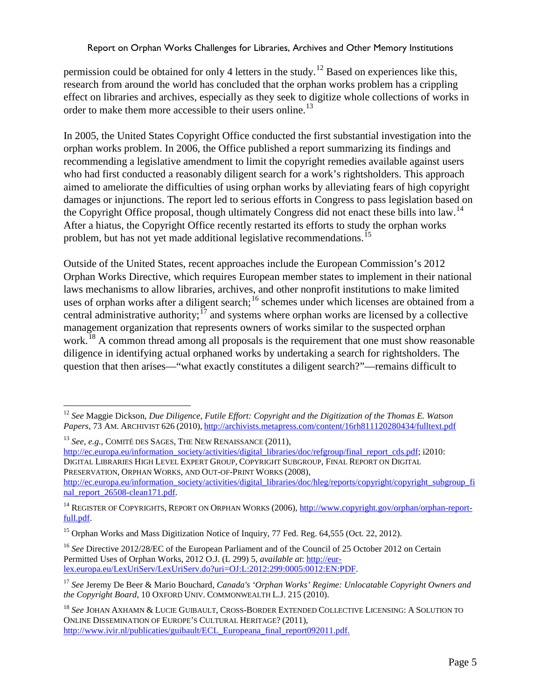permission could be obtained for only 4 letters in the study.<sup>[12](#page-5-0)</sup> Based on experiences like this, research from around the world has concluded that the orphan works problem has a crippling effect on libraries and archives, especially as they seek to digitize whole collections of works in order to make them more accessible to their users online.<sup>[13](#page-5-1)</sup>

In 2005, the United States Copyright Office conducted the first substantial investigation into the orphan works problem. In 2006, the Office published a report summarizing its findings and recommending a legislative amendment to limit the copyright remedies available against users who had first conducted a reasonably diligent search for a work's rightsholders. This approach aimed to ameliorate the difficulties of using orphan works by alleviating fears of high copyright damages or injunctions. The report led to serious efforts in Congress to pass legislation based on the Copyright Office proposal, though ultimately Congress did not enact these bills into law.<sup>[14](#page-5-2)</sup> After a hiatus, the Copyright Office recently restarted its efforts to study the orphan works problem, but has not yet made additional legislative recommendations.<sup>[15](#page-5-3)</sup>

Outside of the United States, recent approaches include the European Commission's 2012 Orphan Works Directive, which requires European member states to implement in their national laws mechanisms to allow libraries, archives, and other nonprofit institutions to make limited uses of orphan works after a diligent search;<sup>[16](#page-5-4)</sup> schemes under which licenses are obtained from a central administrative authority;  $17$  and systems where orphan works are licensed by a collective management organization that represents owners of works similar to the suspected orphan work.<sup>[18](#page-5-6)</sup> A common thread among all proposals is the requirement that one must show reasonable diligence in identifying actual orphaned works by undertaking a search for rightsholders. The question that then arises—"what exactly constitutes a diligent search?"—remains difficult to

<span id="page-5-1"></span><sup>13</sup> *See, e.g.*, COMITÉ DES SAGES, THE NEW RENAISSANCE (2011),

[http://ec.europa.eu/information\\_society/activities/digital\\_libraries/doc/refgroup/final\\_report\\_cds.pdf;](http://ec.europa.eu/information_society/activities/digital_libraries/doc/refgroup/final_report_cds.pdf) i2010: DIGITAL LIBRARIES HIGH LEVEL EXPERT GROUP, COPYRIGHT SUBGROUP, FINAL REPORT ON DIGITAL PRESERVATION, ORPHAN WORKS, AND OUT-OF-PRINT WORKS (2008),

<span id="page-5-0"></span> <sup>12</sup> *See* Maggie Dickson, *Due Diligence, Futile Effort: Copyright and the Digitization of the Thomas E. Watson Papers*, 73 AM. ARCHIVIST 626 (2010), <http://archivists.metapress.com/content/16rh811120280434/fulltext.pdf>

[http://ec.europa.eu/information\\_society/activities/digital\\_libraries/doc/hleg/reports/copyright/copyright\\_subgroup\\_fi](http://ec.europa.eu/information_society/activities/digital_libraries/doc/hleg/reports/copyright/copyright_subgroup_final_report_26508-clean171.pdf) [nal\\_report\\_26508-clean171.pdf.](http://ec.europa.eu/information_society/activities/digital_libraries/doc/hleg/reports/copyright/copyright_subgroup_final_report_26508-clean171.pdf) 

<span id="page-5-2"></span><sup>&</sup>lt;sup>14</sup> REGISTER OF COPYRIGHTS, REPORT ON ORPHAN WORKS (2006), [http://www.copyright.gov/orphan/orphan-report](http://www.copyright.gov/orphan/orphan-report-full.pdf)[full.pdf.](http://www.copyright.gov/orphan/orphan-report-full.pdf)

<span id="page-5-3"></span><sup>&</sup>lt;sup>15</sup> Orphan Works and Mass Digitization Notice of Inquiry, 77 Fed. Reg. 64,555 (Oct. 22, 2012).

<span id="page-5-4"></span><sup>&</sup>lt;sup>16</sup> See Directive 2012/28/EC of the European Parliament and of the Council of 25 October 2012 on Certain Permitted Uses of Orphan Works, 2012 O.J. (L 299) 5, *available at*: [http://eur](http://eur-lex.europa.eu/LexUriServ/LexUriServ.do?uri=OJ:L:2012:299:0005:0012:EN:PDF)[lex.europa.eu/LexUriServ/LexUriServ.do?uri=OJ:L:2012:299:0005:0012:EN:PDF.](http://eur-lex.europa.eu/LexUriServ/LexUriServ.do?uri=OJ:L:2012:299:0005:0012:EN:PDF)

<span id="page-5-5"></span><sup>17</sup> *See* Jeremy De Beer & Mario Bouchard, *Canada's 'Orphan Works' Regime: Unlocatable Copyright Owners and the Copyright Board*, 10 OXFORD UNIV. COMMONWEALTH L.J. 215 (2010).

<span id="page-5-6"></span><sup>18</sup> *See* JOHAN AXHAMN & LUCIE GUIBAULT, CROSS-BORDER EXTENDED COLLECTIVE LICENSING: A SOLUTION TO ONLINE DISSEMINATION OF EUROPE'S CULTURAL HERITAGE? (2011), [http://www.ivir.nl/publicaties/guibault/ECL\\_Europeana\\_final\\_report092011.pdf.](http://www.ivir.nl/publicaties/guibault/ECL_Europeana_final_report092011.pdf)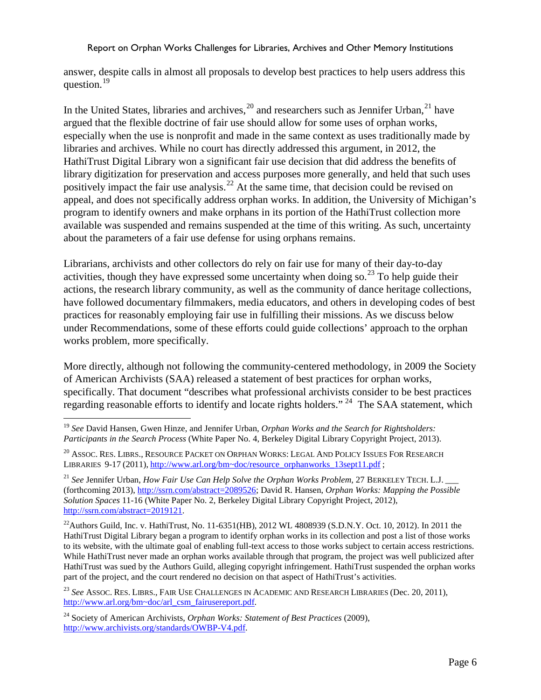answer, despite calls in almost all proposals to develop best practices to help users address this question.<sup>[19](#page-6-0)</sup>

In the United States, libraries and archives,  $^{20}$  $^{20}$  $^{20}$  and researchers such as Jennifer Urban,  $^{21}$  $^{21}$  $^{21}$  have argued that the flexible doctrine of fair use should allow for some uses of orphan works, especially when the use is nonprofit and made in the same context as uses traditionally made by libraries and archives. While no court has directly addressed this argument, in 2012, the HathiTrust Digital Library won a significant fair use decision that did address the benefits of library digitization for preservation and access purposes more generally, and held that such uses positively impact the fair use analysis.<sup>[22](#page-6-3)</sup> At the same time, that decision could be revised on appeal, and does not specifically address orphan works. In addition, the University of Michigan's program to identify owners and make orphans in its portion of the HathiTrust collection more available was suspended and remains suspended at the time of this writing. As such, uncertainty about the parameters of a fair use defense for using orphans remains.

Librarians, archivists and other collectors do rely on fair use for many of their day-to-day activities, though they have expressed some uncertainty when doing so.<sup>[23](#page-6-4)</sup> To help guide their actions, the research library community, as well as the community of dance heritage collections, have followed documentary filmmakers, media educators, and others in developing codes of best practices for reasonably employing fair use in fulfilling their missions. As we discuss below under Recommendations, some of these efforts could guide collections' approach to the orphan works problem, more specifically.

More directly, although not following the community-centered methodology, in 2009 the Society of American Archivists (SAA) released a statement of best practices for orphan works, specifically. That document "describes what professional archivists consider to be best practices regarding reasonable efforts to identify and locate rights holders." <sup>[24](#page-6-5)</sup> The SAA statement, which

<span id="page-6-0"></span> <sup>19</sup> *See* David Hansen, Gwen Hinze, and Jennifer Urban, *Orphan Works and the Search for Rightsholders: Participants in the Search Process* (White Paper No. 4, Berkeley Digital Library Copyright Project, 2013).

<span id="page-6-1"></span><sup>&</sup>lt;sup>20</sup> ASSOC. RES. LIBRS., RESOURCE PACKET ON ORPHAN WORKS: LEGAL AND POLICY ISSUES FOR RESEARCH LIBRARIES 9-17 (2011), [http://www.arl.org/bm~doc/resource\\_orphanworks\\_13sept11.pdf](http://www.arl.org/bm~doc/resource_orphanworks_13sept11.pdf) ;

<span id="page-6-2"></span><sup>&</sup>lt;sup>21</sup> See Jennifer Urban, *How Fair Use Can Help Solve the Orphan Works Problem,* 27 BERKELEY TECH. L.J. (forthcoming 2013)[, http://ssrn.com/abstract=2089526;](http://ssrn.com/abstract=2089526) David R. Hansen, *Orphan Works: Mapping the Possible Solution Spaces* 11-16 (White Paper No. 2, Berkeley Digital Library Copyright Project, 2012), [http://ssrn.com/abstract=2019121.](http://ssrn.com/abstract=2019121)

<span id="page-6-3"></span><sup>&</sup>lt;sup>22</sup>Authors Guild, Inc. v. HathiTrust, No. 11-6351(HB), 2012 WL 4808939 (S.D.N.Y. Oct. 10, 2012). In 2011 the HathiTrust Digital Library began a program to identify orphan works in its collection and post a list of those works to its website, with the ultimate goal of enabling full-text access to those works subject to certain access restrictions. While HathiTrust never made an orphan works available through that program, the project was well publicized after HathiTrust was sued by the Authors Guild, alleging copyright infringement. HathiTrust suspended the orphan works part of the project, and the court rendered no decision on that aspect of HathiTrust's activities.

<span id="page-6-4"></span><sup>23</sup> *See* ASSOC. RES. LIBRS., FAIR USE CHALLENGES IN ACADEMIC AND RESEARCH LIBRARIES (Dec. 20, 2011), [http://www.arl.org/bm~doc/arl\\_csm\\_fairusereport.pdf.](http://www.arl.org/bm~doc/arl_csm_fairusereport.pdf)

<span id="page-6-5"></span><sup>24</sup> Society of American Archivists, *Orphan Works: Statement of Best Practices* (2009), [http://www.archivists.org/standards/OWBP-V4.pdf.](http://www.archivists.org/standards/OWBP-V4.pdf)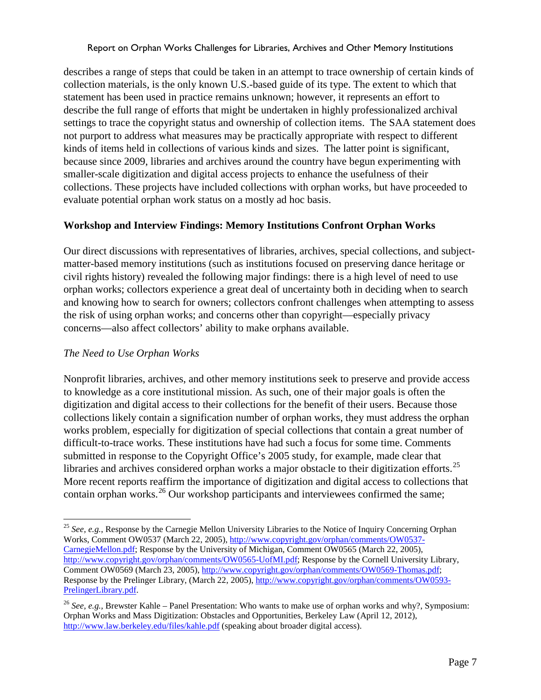describes a range of steps that could be taken in an attempt to trace ownership of certain kinds of collection materials, is the only known U.S.-based guide of its type. The extent to which that statement has been used in practice remains unknown; however, it represents an effort to describe the full range of efforts that might be undertaken in highly professionalized archival settings to trace the copyright status and ownership of collection items. The SAA statement does not purport to address what measures may be practically appropriate with respect to different kinds of items held in collections of various kinds and sizes. The latter point is significant, because since 2009, libraries and archives around the country have begun experimenting with smaller-scale digitization and digital access projects to enhance the usefulness of their collections. These projects have included collections with orphan works, but have proceeded to evaluate potential orphan work status on a mostly ad hoc basis.

## **Workshop and Interview Findings: Memory Institutions Confront Orphan Works**

Our direct discussions with representatives of libraries, archives, special collections, and subjectmatter-based memory institutions (such as institutions focused on preserving dance heritage or civil rights history) revealed the following major findings: there is a high level of need to use orphan works; collectors experience a great deal of uncertainty both in deciding when to search and knowing how to search for owners; collectors confront challenges when attempting to assess the risk of using orphan works; and concerns other than copyright—especially privacy concerns—also affect collectors' ability to make orphans available.

# *The Need to Use Orphan Works*

Nonprofit libraries, archives, and other memory institutions seek to preserve and provide access to knowledge as a core institutional mission. As such, one of their major goals is often the digitization and digital access to their collections for the benefit of their users. Because those collections likely contain a signification number of orphan works, they must address the orphan works problem, especially for digitization of special collections that contain a great number of difficult-to-trace works. These institutions have had such a focus for some time. Comments submitted in response to the Copyright Office's 2005 study, for example, made clear that libraries and archives considered orphan works a major obstacle to their digitization efforts.<sup>[25](#page-7-0)</sup> More recent reports reaffirm the importance of digitization and digital access to collections that contain orphan works.<sup>[26](#page-7-1)</sup> Our workshop participants and interviewees confirmed the same;

<span id="page-7-0"></span><sup>&</sup>lt;sup>25</sup> See, e.g., Response by the Carnegie Mellon University Libraries to the Notice of Inquiry Concerning Orphan Works, Comment OW0537 (March 22, 2005), [http://www.copyright.gov/orphan/comments/OW0537-](http://www.copyright.gov/orphan/comments/OW0537-CarnegieMellon.pdf) [CarnegieMellon.pdf;](http://www.copyright.gov/orphan/comments/OW0537-CarnegieMellon.pdf) Response by the University of Michigan, Comment OW0565 (March 22, 2005), [http://www.copyright.gov/orphan/comments/OW0565-UofMI.pdf;](http://www.copyright.gov/orphan/comments/OW0565-UofMI.pdf) Response by the Cornell University Library, Comment OW0569 (March 23, 2005)[, http://www.copyright.gov/orphan/comments/OW0569-Thomas.pdf;](http://www.copyright.gov/orphan/comments/OW0569-Thomas.pdf) Response by the Prelinger Library, (March 22, 2005)[, http://www.copyright.gov/orphan/comments/OW0593-](http://www.copyright.gov/orphan/comments/OW0593-PrelingerLibrary.pdf) [PrelingerLibrary.pdf.](http://www.copyright.gov/orphan/comments/OW0593-PrelingerLibrary.pdf) 

<span id="page-7-1"></span><sup>26</sup> *See, e.g.,* Brewster Kahle – Panel Presentation: Who wants to make use of orphan works and why?, Symposium: Orphan Works and Mass Digitization: Obstacles and Opportunities, Berkeley Law (April 12, 2012), <http://www.law.berkeley.edu/files/kahle.pdf> (speaking about broader digital access).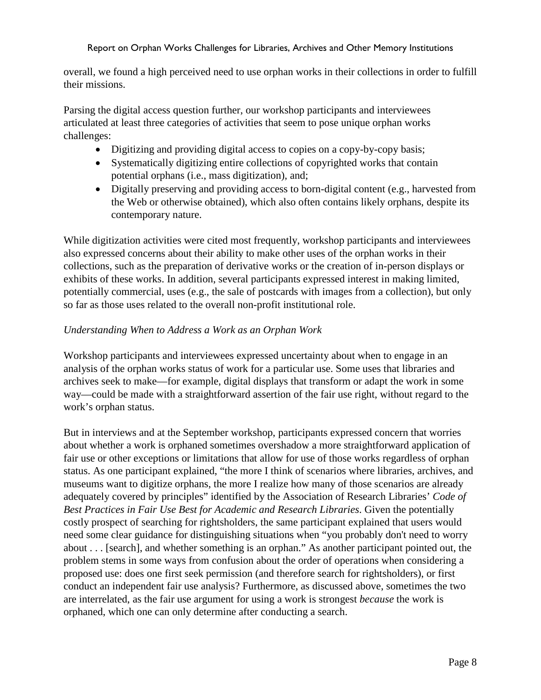overall, we found a high perceived need to use orphan works in their collections in order to fulfill their missions.

Parsing the digital access question further, our workshop participants and interviewees articulated at least three categories of activities that seem to pose unique orphan works challenges:

- Digitizing and providing digital access to copies on a copy-by-copy basis;
- Systematically digitizing entire collections of copyrighted works that contain potential orphans (i.e., mass digitization), and;
- Digitally preserving and providing access to born-digital content (e.g., harvested from the Web or otherwise obtained), which also often contains likely orphans, despite its contemporary nature.

While digitization activities were cited most frequently, workshop participants and interviewees also expressed concerns about their ability to make other uses of the orphan works in their collections, such as the preparation of derivative works or the creation of in-person displays or exhibits of these works. In addition, several participants expressed interest in making limited, potentially commercial, uses (e.g., the sale of postcards with images from a collection), but only so far as those uses related to the overall non-profit institutional role.

# *Understanding When to Address a Work as an Orphan Work*

Workshop participants and interviewees expressed uncertainty about when to engage in an analysis of the orphan works status of work for a particular use. Some uses that libraries and archives seek to make—for example, digital displays that transform or adapt the work in some way—could be made with a straightforward assertion of the fair use right, without regard to the work's orphan status.

But in interviews and at the September workshop, participants expressed concern that worries about whether a work is orphaned sometimes overshadow a more straightforward application of fair use or other exceptions or limitations that allow for use of those works regardless of orphan status. As one participant explained, "the more I think of scenarios where libraries, archives, and museums want to digitize orphans, the more I realize how many of those scenarios are already adequately covered by principles" identified by the Association of Research Libraries' *Code of Best Practices in Fair Use Best for Academic and Research Libraries*. Given the potentially costly prospect of searching for rightsholders, the same participant explained that users would need some clear guidance for distinguishing situations when "you probably don't need to worry about . . . [search], and whether something is an orphan." As another participant pointed out, the problem stems in some ways from confusion about the order of operations when considering a proposed use: does one first seek permission (and therefore search for rightsholders), or first conduct an independent fair use analysis? Furthermore, as discussed above, sometimes the two are interrelated, as the fair use argument for using a work is strongest *because* the work is orphaned, which one can only determine after conducting a search.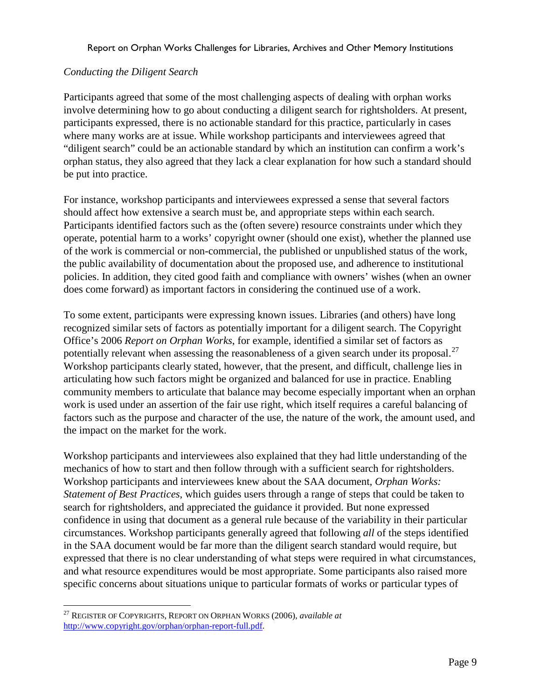## *Conducting the Diligent Search*

Participants agreed that some of the most challenging aspects of dealing with orphan works involve determining how to go about conducting a diligent search for rightsholders. At present, participants expressed, there is no actionable standard for this practice, particularly in cases where many works are at issue. While workshop participants and interviewees agreed that "diligent search" could be an actionable standard by which an institution can confirm a work's orphan status, they also agreed that they lack a clear explanation for how such a standard should be put into practice.

For instance, workshop participants and interviewees expressed a sense that several factors should affect how extensive a search must be, and appropriate steps within each search. Participants identified factors such as the (often severe) resource constraints under which they operate, potential harm to a works' copyright owner (should one exist), whether the planned use of the work is commercial or non-commercial, the published or unpublished status of the work, the public availability of documentation about the proposed use, and adherence to institutional policies. In addition, they cited good faith and compliance with owners' wishes (when an owner does come forward) as important factors in considering the continued use of a work.

To some extent, participants were expressing known issues. Libraries (and others) have long recognized similar sets of factors as potentially important for a diligent search. The Copyright Office's 2006 *Report on Orphan Works*, for example, identified a similar set of factors as potentially relevant when assessing the reasonableness of a given search under its proposal.<sup>[27](#page-9-0)</sup> Workshop participants clearly stated, however, that the present, and difficult, challenge lies in articulating how such factors might be organized and balanced for use in practice. Enabling community members to articulate that balance may become especially important when an orphan work is used under an assertion of the fair use right, which itself requires a careful balancing of factors such as the purpose and character of the use, the nature of the work, the amount used, and the impact on the market for the work.

Workshop participants and interviewees also explained that they had little understanding of the mechanics of how to start and then follow through with a sufficient search for rightsholders. Workshop participants and interviewees knew about the SAA document, *Orphan Works: Statement of Best Practices*, which guides users through a range of steps that could be taken to search for rightsholders, and appreciated the guidance it provided. But none expressed confidence in using that document as a general rule because of the variability in their particular circumstances. Workshop participants generally agreed that following *all* of the steps identified in the SAA document would be far more than the diligent search standard would require, but expressed that there is no clear understanding of what steps were required in what circumstances, and what resource expenditures would be most appropriate. Some participants also raised more specific concerns about situations unique to particular formats of works or particular types of

<span id="page-9-0"></span> <sup>27</sup> REGISTER OF COPYRIGHTS, REPORT ON ORPHAN WORKS (2006), *available at*  [http://www.copyright.gov/orphan/orphan-report-full.pdf.](http://www.copyright.gov/orphan/orphan-report-full.pdf)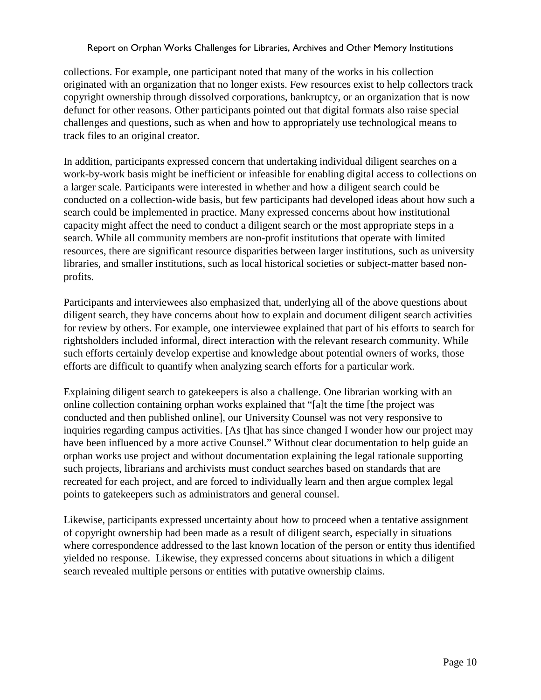collections. For example, one participant noted that many of the works in his collection originated with an organization that no longer exists. Few resources exist to help collectors track copyright ownership through dissolved corporations, bankruptcy, or an organization that is now defunct for other reasons. Other participants pointed out that digital formats also raise special challenges and questions, such as when and how to appropriately use technological means to track files to an original creator.

In addition, participants expressed concern that undertaking individual diligent searches on a work-by-work basis might be inefficient or infeasible for enabling digital access to collections on a larger scale. Participants were interested in whether and how a diligent search could be conducted on a collection-wide basis, but few participants had developed ideas about how such a search could be implemented in practice. Many expressed concerns about how institutional capacity might affect the need to conduct a diligent search or the most appropriate steps in a search. While all community members are non-profit institutions that operate with limited resources, there are significant resource disparities between larger institutions, such as university libraries, and smaller institutions, such as local historical societies or subject-matter based nonprofits.

Participants and interviewees also emphasized that, underlying all of the above questions about diligent search, they have concerns about how to explain and document diligent search activities for review by others. For example, one interviewee explained that part of his efforts to search for rightsholders included informal, direct interaction with the relevant research community. While such efforts certainly develop expertise and knowledge about potential owners of works, those efforts are difficult to quantify when analyzing search efforts for a particular work.

Explaining diligent search to gatekeepers is also a challenge. One librarian working with an online collection containing orphan works explained that "[a]t the time [the project was conducted and then published online], our University Counsel was not very responsive to inquiries regarding campus activities. [As t]hat has since changed I wonder how our project may have been influenced by a more active Counsel." Without clear documentation to help guide an orphan works use project and without documentation explaining the legal rationale supporting such projects, librarians and archivists must conduct searches based on standards that are recreated for each project, and are forced to individually learn and then argue complex legal points to gatekeepers such as administrators and general counsel.

Likewise, participants expressed uncertainty about how to proceed when a tentative assignment of copyright ownership had been made as a result of diligent search, especially in situations where correspondence addressed to the last known location of the person or entity thus identified yielded no response. Likewise, they expressed concerns about situations in which a diligent search revealed multiple persons or entities with putative ownership claims.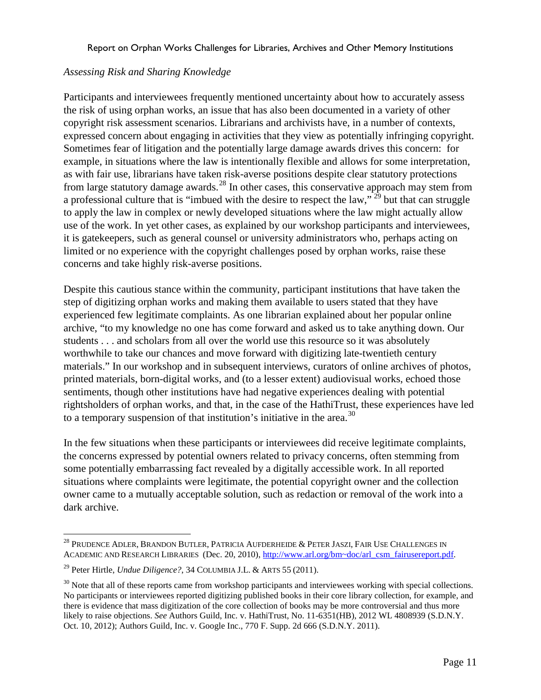## *Assessing Risk and Sharing Knowledge*

Participants and interviewees frequently mentioned uncertainty about how to accurately assess the risk of using orphan works, an issue that has also been documented in a variety of other copyright risk assessment scenarios. Librarians and archivists have, in a number of contexts, expressed concern about engaging in activities that they view as potentially infringing copyright. Sometimes fear of litigation and the potentially large damage awards drives this concern: for example, in situations where the law is intentionally flexible and allows for some interpretation, as with fair use, librarians have taken risk-averse positions despite clear statutory protections from large statutory damage awards.<sup>[28](#page-11-0)</sup> In other cases, this conservative approach may stem from a professional culture that is "imbued with the desire to respect the law," [29](#page-11-1) but that can struggle to apply the law in complex or newly developed situations where the law might actually allow use of the work. In yet other cases, as explained by our workshop participants and interviewees, it is gatekeepers, such as general counsel or university administrators who, perhaps acting on limited or no experience with the copyright challenges posed by orphan works, raise these concerns and take highly risk-averse positions.

Despite this cautious stance within the community, participant institutions that have taken the step of digitizing orphan works and making them available to users stated that they have experienced few legitimate complaints. As one librarian explained about her popular online archive, "to my knowledge no one has come forward and asked us to take anything down. Our students . . . and scholars from all over the world use this resource so it was absolutely worthwhile to take our chances and move forward with digitizing late-twentieth century materials." In our workshop and in subsequent interviews, curators of online archives of photos, printed materials, born-digital works, and (to a lesser extent) audiovisual works, echoed those sentiments, though other institutions have had negative experiences dealing with potential rightsholders of orphan works, and that, in the case of the HathiTrust, these experiences have led to a temporary suspension of that institution's initiative in the area.<sup>[30](#page-11-2)</sup>

In the few situations when these participants or interviewees did receive legitimate complaints, the concerns expressed by potential owners related to privacy concerns, often stemming from some potentially embarrassing fact revealed by a digitally accessible work. In all reported situations where complaints were legitimate, the potential copyright owner and the collection owner came to a mutually acceptable solution, such as redaction or removal of the work into a dark archive.

<span id="page-11-0"></span> $^{28}$  Prudence Adler, Brandon Butler, Patricia Aufderheide & Peter Jaszi, Fair Use Challenges in ACADEMIC AND RESEARCH LIBRARIES (Dec. 20, 2010)[, http://www.arl.org/bm~doc/arl\\_csm\\_fairusereport.pdf.](http://www.arl.org/bm~doc/arl_csm_fairusereport.pdf)

<span id="page-11-1"></span><sup>29</sup> Peter Hirtle, *Undue Diligence?*, 34 COLUMBIA J.L. & ARTS 55 (2011).

<span id="page-11-2"></span> $30$  Note that all of these reports came from workshop participants and interviewees working with special collections. No participants or interviewees reported digitizing published books in their core library collection, for example, and there is evidence that mass digitization of the core collection of books may be more controversial and thus more likely to raise objections. *See* Authors Guild, Inc. v. HathiTrust, No. 11-6351(HB), 2012 WL 4808939 (S.D.N.Y. Oct. 10, 2012); Authors Guild, Inc. v. Google Inc., 770 F. Supp. 2d 666 (S.D.N.Y. 2011).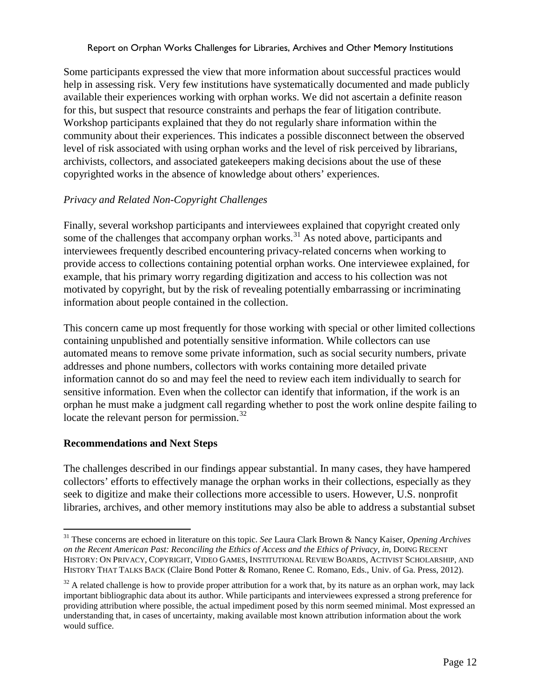Some participants expressed the view that more information about successful practices would help in assessing risk. Very few institutions have systematically documented and made publicly available their experiences working with orphan works. We did not ascertain a definite reason for this, but suspect that resource constraints and perhaps the fear of litigation contribute. Workshop participants explained that they do not regularly share information within the community about their experiences. This indicates a possible disconnect between the observed level of risk associated with using orphan works and the level of risk perceived by librarians, archivists, collectors, and associated gatekeepers making decisions about the use of these copyrighted works in the absence of knowledge about others' experiences.

# *Privacy and Related Non-Copyright Challenges*

Finally, several workshop participants and interviewees explained that copyright created only some of the challenges that accompany orphan works. $31$  As noted above, participants and interviewees frequently described encountering privacy-related concerns when working to provide access to collections containing potential orphan works. One interviewee explained, for example, that his primary worry regarding digitization and access to his collection was not motivated by copyright, but by the risk of revealing potentially embarrassing or incriminating information about people contained in the collection.

This concern came up most frequently for those working with special or other limited collections containing unpublished and potentially sensitive information. While collectors can use automated means to remove some private information, such as social security numbers, private addresses and phone numbers, collectors with works containing more detailed private information cannot do so and may feel the need to review each item individually to search for sensitive information. Even when the collector can identify that information, if the work is an orphan he must make a judgment call regarding whether to post the work online despite failing to locate the relevant person for permission.<sup>[32](#page-12-1)</sup>

## **Recommendations and Next Steps**

The challenges described in our findings appear substantial. In many cases, they have hampered collectors' efforts to effectively manage the orphan works in their collections, especially as they seek to digitize and make their collections more accessible to users. However, U.S. nonprofit libraries, archives, and other memory institutions may also be able to address a substantial subset

<span id="page-12-0"></span> <sup>31</sup> These concerns are echoed in literature on this topic. *See* Laura Clark Brown & Nancy Kaiser, *Opening Archives on the Recent American Past: Reconciling the Ethics of Access and the Ethics of Privacy*, *in*, DOING RECENT HISTORY: ON PRIVACY, COPYRIGHT, VIDEO GAMES, INSTITUTIONAL REVIEW BOARDS, ACTIVIST SCHOLARSHIP, AND HISTORY THAT TALKS BACK (Claire Bond Potter & Romano, Renee C. Romano, Eds., Univ. of Ga. Press, 2012).

<span id="page-12-1"></span> $32$  A related challenge is how to provide proper attribution for a work that, by its nature as an orphan work, may lack important bibliographic data about its author. While participants and interviewees expressed a strong preference for providing attribution where possible, the actual impediment posed by this norm seemed minimal. Most expressed an understanding that, in cases of uncertainty, making available most known attribution information about the work would suffice.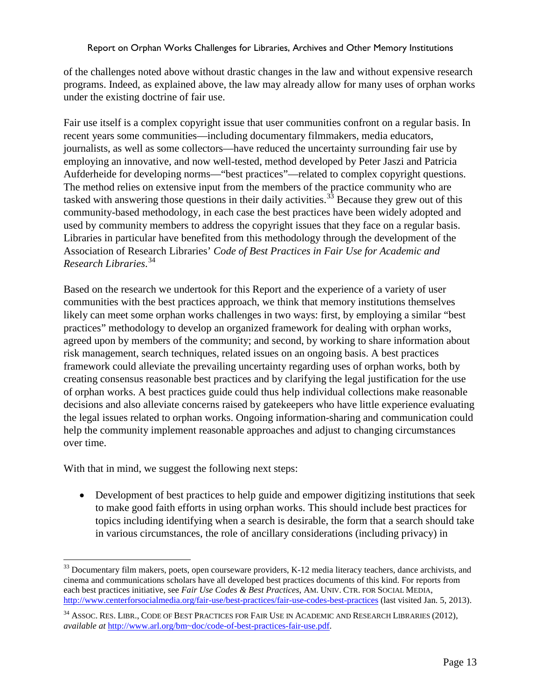of the challenges noted above without drastic changes in the law and without expensive research programs. Indeed, as explained above, the law may already allow for many uses of orphan works under the existing doctrine of fair use.

Fair use itself is a complex copyright issue that user communities confront on a regular basis. In recent years some communities—including documentary filmmakers, media educators, journalists, as well as some collectors—have reduced the uncertainty surrounding fair use by employing an innovative, and now well-tested, method developed by Peter Jaszi and Patricia Aufderheide for developing norms—"best practices"—related to complex copyright questions. The method relies on extensive input from the members of the practice community who are tasked with answering those questions in their daily activities.<sup>[33](#page-13-0)</sup> Because they grew out of this community-based methodology, in each case the best practices have been widely adopted and used by community members to address the copyright issues that they face on a regular basis. Libraries in particular have benefited from this methodology through the development of the Association of Research Libraries' *Code of Best Practices in Fair Use for Academic and Research Libraries*. [34](#page-13-1)

Based on the research we undertook for this Report and the experience of a variety of user communities with the best practices approach, we think that memory institutions themselves likely can meet some orphan works challenges in two ways: first, by employing a similar "best practices" methodology to develop an organized framework for dealing with orphan works, agreed upon by members of the community; and second, by working to share information about risk management, search techniques, related issues on an ongoing basis. A best practices framework could alleviate the prevailing uncertainty regarding uses of orphan works, both by creating consensus reasonable best practices and by clarifying the legal justification for the use of orphan works. A best practices guide could thus help individual collections make reasonable decisions and also alleviate concerns raised by gatekeepers who have little experience evaluating the legal issues related to orphan works. Ongoing information-sharing and communication could help the community implement reasonable approaches and adjust to changing circumstances over time.

With that in mind, we suggest the following next steps:

• Development of best practices to help guide and empower digitizing institutions that seek to make good faith efforts in using orphan works. This should include best practices for topics including identifying when a search is desirable, the form that a search should take in various circumstances, the role of ancillary considerations (including privacy) in

<span id="page-13-0"></span><sup>&</sup>lt;sup>33</sup> Documentary film makers, poets, open courseware providers, K-12 media literacy teachers, dance archivists, and cinema and communications scholars have all developed best practices documents of this kind. For reports from each best practices initiative, see *Fair Use Codes & Best Practices*, AM. UNIV. CTR. FOR SOCIAL MEDIA, <http://www.centerforsocialmedia.org/fair-use/best-practices/fair-use-codes-best-practices> (last visited Jan. 5, 2013).

<span id="page-13-1"></span><sup>34</sup> ASSOC. RES. LIBR., CODE OF BEST PRACTICES FOR FAIR USE IN ACADEMIC AND RESEARCH LIBRARIES (2012), *available at* [http://www.arl.org/bm~doc/code-of-best-practices-fair-use.pdf.](http://www.arl.org/bm~doc/code-of-best-practices-fair-use.pdf)